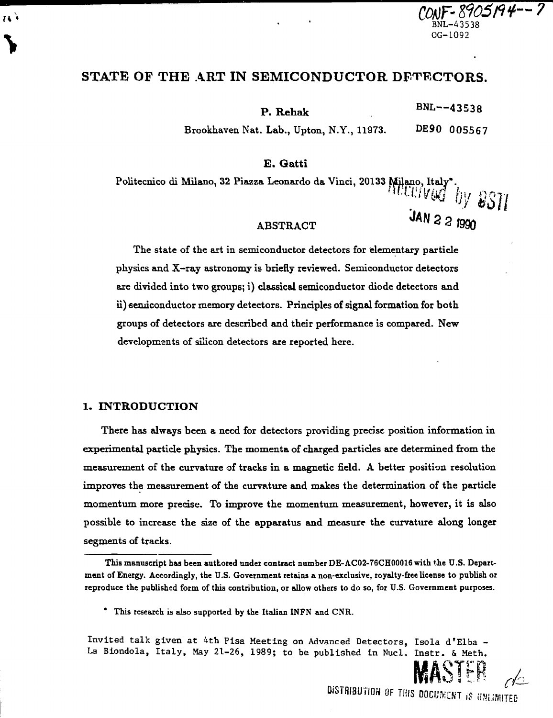## STATE OF THE ART IN SEMICONDUCTOR DETECTORS.

P. Rehak BNL--43538 Brookhaven Nat. Lab., Upton, N.Y., 11973. DE90 005567

**OG-1092**

CONF-8905194--7

by 8311

**E. Gatti**

Politecnico di Milano, 32 Piazza Leonardo da Vinci, 20133 Mileno, Italy\*.

#### ABSTRACT

The state of the art in semiconductor detectors for elementary particle physics and X-ray astronomy is briefly reviewed. Semiconductor detectors are divided into two groups; i) classical semiconductor diode detectors and ii) semiconductor memory detectors. Principles of signal formation for both groups of detectors are described and their performance is compared. New developments of silicon detectors are reported here.

## **1. INTRODUCTION**

74 मे

There has always been a need for detectors providing precise position information in experimental particle physics. The momenta of charged particles are determined from the measurement of the curvature of tracks in a magnetic field. A better position resolution improves the measurement of the curvature and makes the determination of the particle momentum more precise. To improve the momentum measurement, however, it is also possible to increase the size of the apparatus and measure the curvature along longer segments of tracks.

Invited talk given at 4th Pisa Meeting on Advanced Detectors, Isola d'Elba - La Biondola, Italy, May 21-26, 1989; to be published in Nucl, Instr. & Meth.

**WOTHIBUTION OF THIS OOCUMENT IS UN** 

MASTER

**This manuscript has been authored under contract number DE-AC02-76CH00016 with the U.S. Department of Energy. Accordingly, the U.S. Government retains a non-exclusive, royalty-free license to publish or reproduce the published form of this contribution, or allow others to do so, for U.S. Government purposes.**

**<sup>\*</sup> This research is also supported by the Italian INFN and CNR.**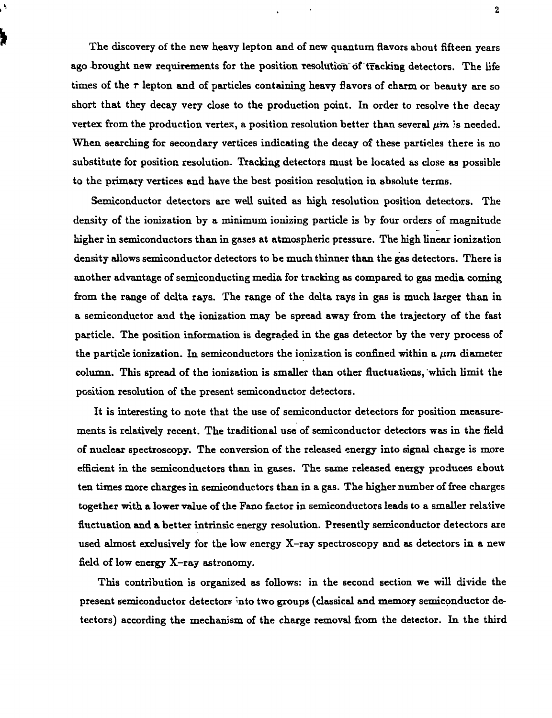The discovery of the new heavy lepton and of new quantum flavors about fifteen years ago brought new requirements for the position resolution of tracking detectors. The life times of the  $\tau$  lepton and of particles containing heavy flavors of charm or beauty are so short that they decay very close to the production point. In order to resolve the decay vertex from the production vertex, a position resolution better than several  $\mu m$  is needed. When searching for secondary vertices indicating the decay of these particles there is no substitute for position resolution. Tracking detectors must be located as close as possible to the primary vertices and have the best position resolution in absolute terms.

Semiconductor detectors are well suited as high resolution position detectors. The density of the ionization by a minimum ionizing particle is by four orders of magnitude higher in semiconductors than in gases at atmospheric pressure. The high linear ionization density allows semiconductor detectors to be much thinner than the gas detectors. There is another advantage of semiconducting media for tracking as compared to gas media coming from the range of delta rays. The range of the delta rays in gas is much larger than in a semiconductor and the ionization may be spread away from the trajectory of the fast particle. The position information is degraded in the gas detector by the very process of the particle ionization. In semiconductors the ionization is confined within a  $\mu m$  diameter column. This spread of the ionization is smaller than other fluctuations, which limit the position resolution of the present semiconductor detectors.

It is interesting to note that the use of semiconductor detectors for position measurements is relatively recent. The traditional use of semiconductor detectors was in the field of nuclear spectroscopy. The conversion of the released energy into signal charge is more efficient in the semiconductors than in gases. The same released energy produces about ten times more charges in semiconductors than in a gas. The higher number of free charges together with a lower value of the Fano factor in semiconductors leads to a smaller relative fluctuation and a better intrinsic energy resolution. Presently semiconductor detectors are used almost exclusively for the low energy X-ray spectroscopy and as detectors in a new field of low energy X-ray astronomy.

This contribution is organized as follows: in the second section we will divide the present semiconductor detectors 'nto two groups (classical and memory semiconductor detectors) according the mechanism of the charge removal from the detector. In the third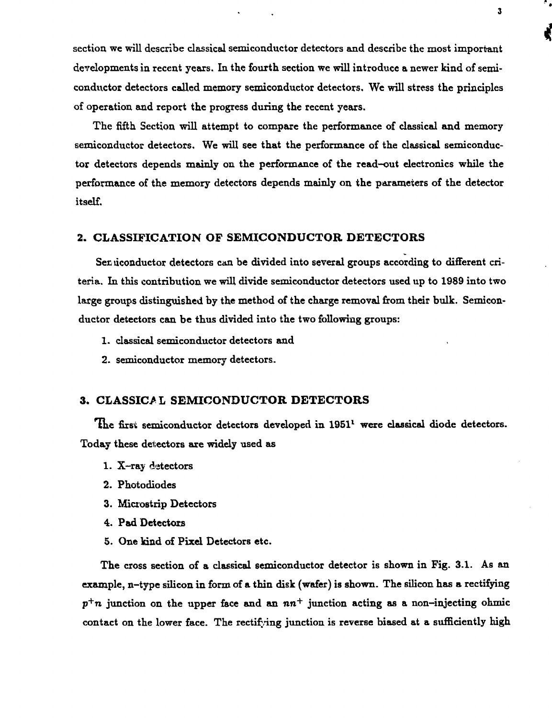section we will describe classical semiconductor detectors and describe the most important developments in recent years. In the fourth section we will introduce a newer kind of semiconductor detectors called memory semiconductor detectors. We will stress the principles of operation and report the progress during the recent years.

The fifth Section will attempt to compare the performance of classical and memory semiconductor detectors. We will see that the performance of the classical semiconductor detectors depends mainly on the performance of the read-out electronics while the performance of the memory detectors depends mainly on the parameters of the detector itself.

## **2. CLASSIFICATION OF SEMICONDUCTOR DETECTORS**

Semiconductor detectors can be divided into several groups according to different criteria. In this contribution we will divide semiconductor detectors used up to 1989 into two large groups distinguished by the method of the charge removal from their bulk. Semiconductor detectors can be thus divided into the two following groups:

- 1. classical semiconductor detectors and
- 2. semiconductor memory detectors.

### 3. CLASSICAL SEMICONDUCTOR DETECTORS

The first semiconductor detectors developed in  $1951<sup>1</sup>$  were classical diode detectors. Today these detectors are widely used as

- 1. X-ray detectors
- 2. Photodiodes
- 3. Microstrip Detectors
- 4. **Pad Detectors**
- 5. One kind of Pixel Detectors etc.

The cross section of a classical semiconductor detector is shown in Fig. 3.1. As an example, n-type silicon in form of a thin disk (wafer) is shown. The silicon has *a.* rectifying *p + n* junction on the upper face and an *nn +* junction acting as a non-injecting ohmic contact on the lower face. The rectifying junction is reverse biased at a sufficiently high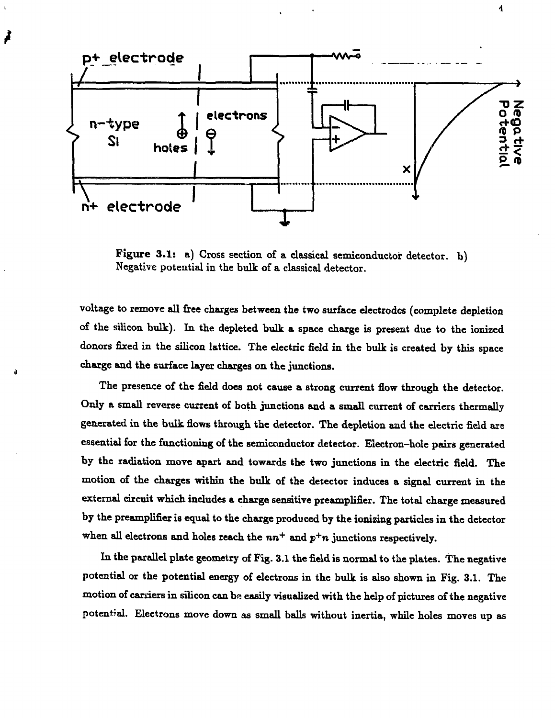

4

Figure 3.1: a) Cross section of a classical semiconductor detector, b) Negative potential in the bulk of a classical detector.

voltage to remove all free charges between the two surface electrodes (complete depletion of the silicon bulk). In the depleted bulk a space charge is present due to the ionized donors fixed in the silicon lattice. The electric field in the bulk is created by this space charge and the surface layer charges on the junctions.

The presence of the field does not cause a strong current flow through the detector. Only a small reverse current of both junctions and a small current of carriers thermally generated in the bulk flows through the detector. The depletion and the electric field are essential for the functioning of the semiconductor detector. Electron-hole pairs generated by the radiation move apart and towards the two junctions in the electric field. The motion of the charges within the bulk of the detector induces a signal current in the external circuit which includes a charge sensitive preamplifier. The total charge measured by the preamplifier is equal to the charge produced by the ionizing particles in the detector when all electrons and holes reach the  $nn^+$  and  $p^+n$  junctions respectively.

In the parallel plate geometry of Fig. 3.1 the field is normal to the plates. The negative potential or the potential energy of electrons in the bulk is also shown in Fig. 3.1. The motion of earners in silicon can be easily visualized with the help of pictures of the negative potential. Electrons move down as small balls without inertia, while holes moves up as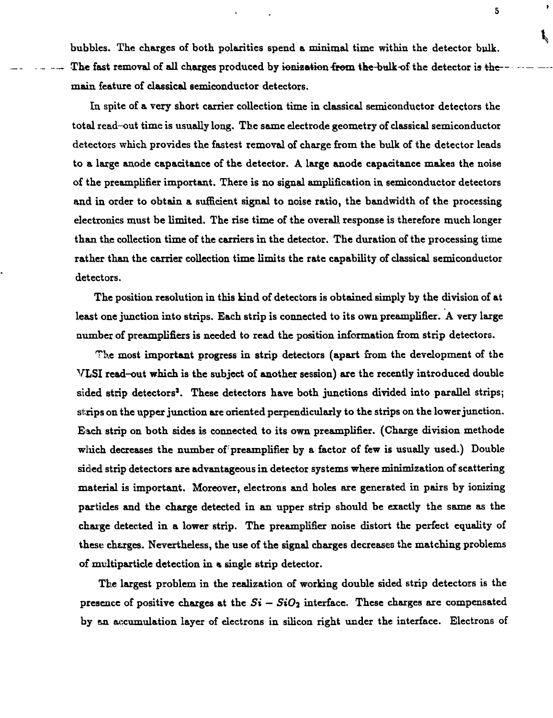bubbles. The charges of both polarities spend a minimal time within the detector bulk. The fast removal of all charges produced by ionization from the-bulk-of the detector is themain feature of classical semiconductor detectors.

5

 $\mathbf{r}$ 

In spite of a very short carrier collection time in classical semiconductor detectors the total read-out time is usually long. The same electrode geometry of classical semiconductor detectors which provides the fastest removal of charge from the bulk of the detector leads to a large anode capacitance of the detector. A large anode capacitance makes the noise of the preamplifier important. There is no signal amplification in semiconductor detectors and in order to obtain a sufficient signal to noise ratio, the bandwidth of the processing electronics must be limited. The rise time of the overall response is therefore much longer than the collection time of the carriers in the detector. The duration of the processing time rather than the carrier collection time limits the rate capability of classical semiconductor detectors.

The position resolution in this kind of detectors is obtained simply by the division of at least one junction into strips. Each strip is connected to its own preamplifier. A very large number of preamplifiers is needed to read the position information from strip detectors.

The most important progress in strip detectors (apart from the development of the VLSI read-out which is the subject of another session) are the recently introduced double sided strip detectors\*. These detectors have both junctions divided into parallel strips; strips on the upper junction are oriented perpendicularly to the strips on the lower junction. Each strip on both sides is connected to its own preamplifier. (Charge division methode which decreases the number of preamplifier by a factor of few is usually used.) Double sided strip detectors are advantageous in detector systems where minimization of scattering material is important. Moreover, electrons and holes are generated in pairs by ionizing particles and the charge detected in an upper strip should be exactly the same as the charge detected in a lower strip. The preamplifier noise distort the perfect equality of these charges. Nevertheless, the use of the signal charges decreases the matching problems of multiparticle detection in a single strip detector.

The largest problem in the realization of working double sided strip detectors is the presence of positive charges at the  $Si - SiO<sub>2</sub>$  interface. These charges are compensated by an accumulation layer of electrons in silicon right under the interface. Electrons of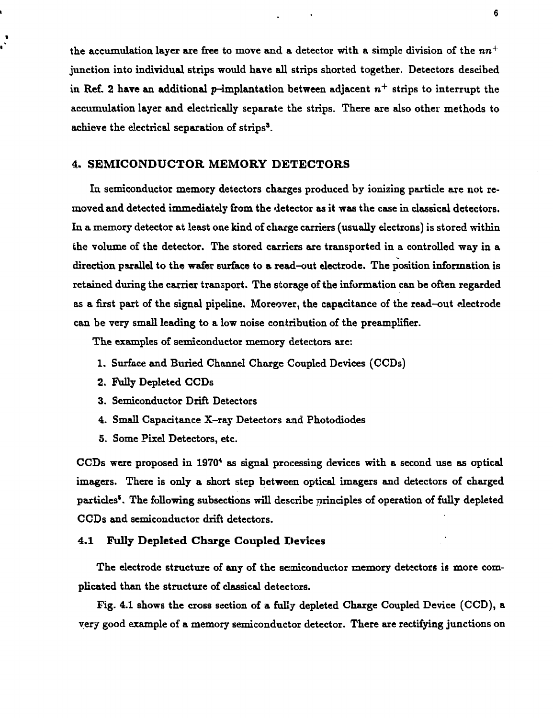the accumulation layer are free to move and a detector with a simple division of the *nn +* junction into individual strips would have all strips shorted together. Detectors descibed in Ref. 2 have an additional p-implantation between adjacent  $n^+$  strips to interrupt the accumulation layer and electrically separate the strips. There are also other methods to achieve the electrical separation of strips<sup>3</sup>.

## 4. **SEMICONDUCTOR MEMORY DETECTORS**

In semiconductor memory detectors charges produced by ionizing particle are not removed and detected immediately from the detector as it was the case in classical detectors. In a memory detector at least one kind of charge carriers (usually electrons) is stored within the volume of the detector. The stored carriers are transported in a controlled way in a direction parallel to the wafer surface to a read-out electrode. The position information is retained during the carrier transport. The storage of the information can be often regarded as a first part of the signal pipeline. Moreover, the capacitance of the read-out electrode can be very small leading to a low noise contribution of the preamplifier.

The examples of semiconductor memory detectors are:

- 1. Surface and Buried Channel Charge Coupled Devices (CCDs)
- 2. Fully Depleted CCDs

**t**  $\bullet$ 

- 3. Semiconductor Drift Detectors
- 4. Small Capacitance X-ray Detectors and Photodiodes
- 5. Some Pixel Detectors, etc.

CCDs were proposed in 1970\* as signal processing devices with a second use as optical imagers. There is only a short step between optical imagers and detectors of charged particles<sup>5</sup>. The following subsections will describe principles of operation of fully depleted CCDs and semiconductor drift detectors.

## **4.1 Fully Depleted Charge Coupled Devices**

The electrode structure of any of the semiconductor memory detectors is more complicated than the structure of classical detectors.

Fig. 4.1 shows the cross section of a fully depleted Charge Coupled Device (CCD), a very good example of a memory semiconductor detector. There are rectifying junctions on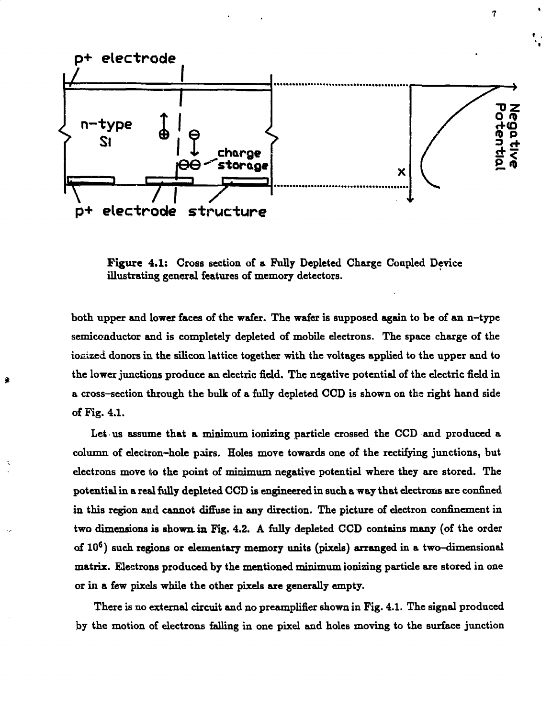

7

**Figure 4.1: Cross section of a Fully Depleted Charge Coupled Device illustrating general features of memory detectors.**

**both upper and lower faces of the wafer. The wafer is supposed again to be of an n-type semiconductor and is completely depleted of mobile electrons. The space charge of the ioaized donors in the silicon lattice together with the voltages applied to the upper and to the lower junctions produce an electric field. The negative potential of the electric field in a cross-section through the bulk of a fully depleted CCD is shown on the right hand side of Fig. 4.1.**

准

ť

**Let us assume that a minimum ionizing particle crossed the CCD and produced a column of electron-hole pairs. Holes move towards one of the rectifying junctions, but electrons move to the point of minimum negative potential where they are stored. The potential in a real fully depleted CCD is engineered in such a way that electrons are confined in this region and cannot diffuse in any direction. The picture of electron confinement in two dimensions is shown, in Fig. 4.2. A fully depleted CCD contains many (of the order of 10<sup>6</sup> ) such regions or elementary memory units (pixels) arranged in a two-dimensional matrix. Electrons produced by the mentioned minimum ionizing particle are stored in one or in a few pixels while the other pixels are generally empty.**

**There is no external circuit and no preamplifier shown in Fig. 4.1. The signal produced by the motion of electrons falling in one pixel and holes moving to the surface junction**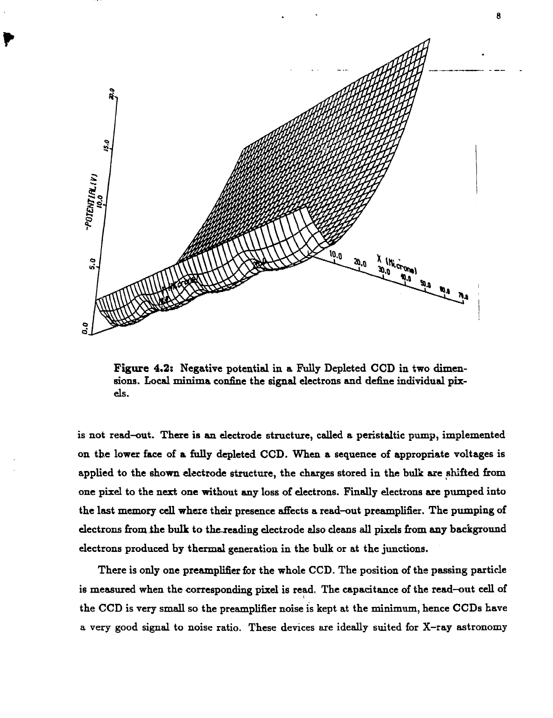

**Figure 4.2;** Negative potential in a Fully Depleted CCD in two dimensions. Local minima confine the signal electrons and define individual pixels.

is not read-out. There is an electrode structure, called a peristaltic pump, implemented on the lower face of & fully depleted CCD. When a sequence of appropriate voltages is applied to the shown electrode structure, the charges stored in the bulk axe shifted from one pixel to the next one without any loss of electrons. Finally electrons are pumped into the last memory cell where their presence affects a read-out preamplifier. The pumping of electrons from the bulk to the-reading electrode also cleans ail pixels from any background electrons produced by thermal generation in the bulk or at the junctions.

There is only one preamplifier for the whole CCD. The position of the passing particle is measured when the corresponding pixel is read. The capacitance of the read-out cell of the CCD is very small so the preamplifier noise is kept at the minimum, hence CCDs have a very good signal to noise ratio. These devices are ideally suited for X-ray astronomy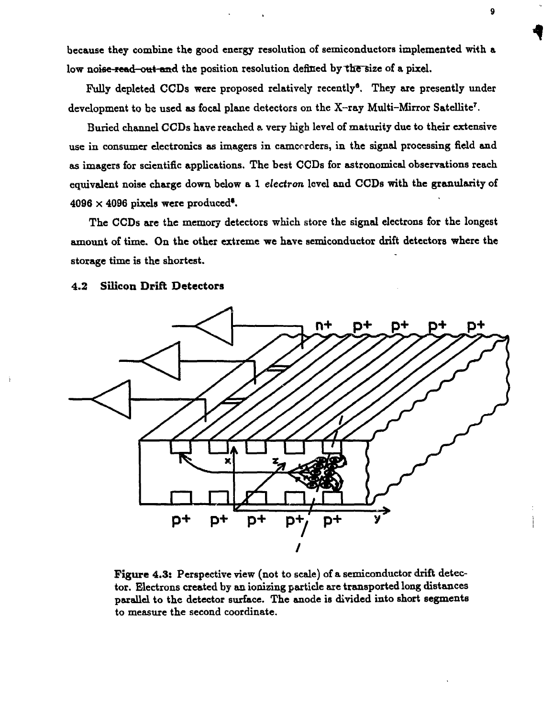because they combine the good energy resolution of semiconductors implemented with a low noise-read-out and the position resolution defined by the size of a pixel.

Fully depleted CCDs were proposed relatively recently<sup>6</sup>. They are presently under development to be used as focal plane detectors on the X-ray Multi-Mirror Satellite<sup>7</sup>.

Buried channel CCDs have reached a very high level of maturity due to their extensive use in consumer electronics as imagers in camcorders, in the signal processing field and as imagers for scientific applications. The best CCDs for astronomical observations reach equivalent noise charge down below a 1 *electron* level and CCDs with the granularity of  $4096 \times 4096$  pixels were produced<sup>4</sup>.

The CCDs are the memory detectors which store the signal electrons for the longest amount of time. On the other extreme we have semiconductor drift detectors where the storage time is the shortest.

#### **4.2 Silicon Drift Detectors**



Figure 4.3: Perspective view (not to scale) of a semiconductor drift detector. Electrons created by an ionizing particle are transported long distances parallel to the detector surface. The anode is divided into short segments to measure the second coordinate.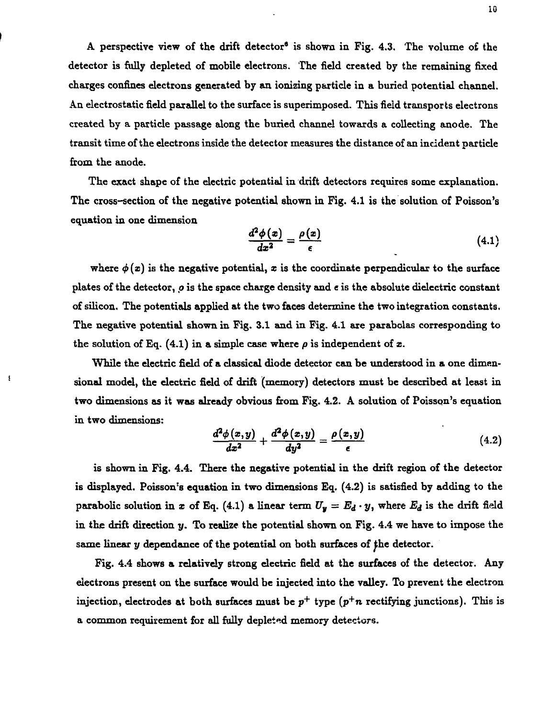A perspective view of the drift detector<sup>6</sup> is shown in Fig. 4.3. The volume of the detector is fully depleted of mobile electrons. The field created by the remaining fixed charges confines electrons generated by an ionizing particle in a buried potential channel. An electrostatic field parallel to the surface is superimposed. This field transports electrons created by a particle passage along the buried channel towards a collecting anode. The transit time of the electrons inside the detector measures the distance of an incident particle from the anode.

The exact shape of the electric potential in drift detectors requires some explanation. The cross-section of the negative potential shown in Fig. 4.1 is the solution of Poisson's equation in one dimension

$$
\frac{d^2\phi(x)}{dx^2} = \frac{\rho(x)}{\epsilon} \tag{4.1}
$$

where  $\phi(x)$  is the negative potential, x is the coordinate perpendicular to the surface plates of the detector, *o* is the space charge density and e is the absolute dielectric constant of silicon. The potentials applied at the two faces determine the two integration constants. The negative potential shown in Fig. 3.1 and in Fig. 4.1 are parabolas corresponding to the solution of Eq.  $(4.1)$  in a simple case where  $\rho$  is independent of x.

While the electric field of a classical diode detector can be understood in a one dimensional model, the electric field of drift (memory) detectors must be described at least in two dimensions as it was already obvious from Fig. 4.2. A solution of Poisson's equation in two dimensions:

ŧ

$$
\frac{d^2\phi(x,y)}{dx^2} + \frac{d^2\phi(x,y)}{dy^2} = \frac{\rho(x,y)}{\epsilon}
$$
\n(4.2)

is shown in Fig. 4.4. There the negative potential in the drift region of the detector is displayed. Poisson's equation in two dimensions Eq. (4.2) is satisfied by adding to the parabolic solution in x of Eq. (4.1) a linear term  $U_y = E_d \cdot y$ , where  $E_d$  is the drift field in the drift direction *y.* To realize the potential shown on Fig. 4.4 we have to impose the same linear *y* dependance of the potential on both surfaces of the detector.

Fig. 4.4 shows a relatively strong electric field at the surfaces of the detector. Any electrons present on the surface would be injected into the valley. To prevent the electron injection, electrodes at both surfaces must be  $p^+$  type  $(p^+n$  rectifying junctions). This is a common requirement for all fully depleted memory detectors.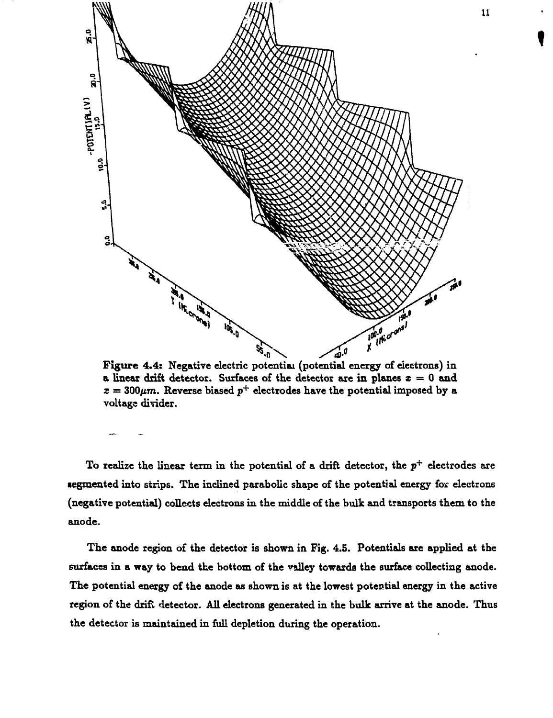

**a** linear drift detector. Surfaces of the detector are in planes  $x = 0$  and  $x = 300 \mu m$ . Reverse biased  $p^+$  electrodes have the potential imposed by a **voltage divider.**

**To realize the linear term in the potential of a drift detector, the p<sup>+</sup> electrodes are segmented into strips. The inclined parabolic shape of the potential energy for electrons (negative potential) collects electrons in the middle of the bulk and transports them to the anode.**

**The anode region of the detector is shown in Fig. 4.5. Potentials are applied at the surfaces in a way to bend the bottom of the valley towards the surface collecting anode. The potential energy of the anode as shown is at the lowest potential energy in the active region of the drift detector. All electrons generated in the bulk arrive at the anode. Thus the detector is maintained in full depletion during the operation.**

**f**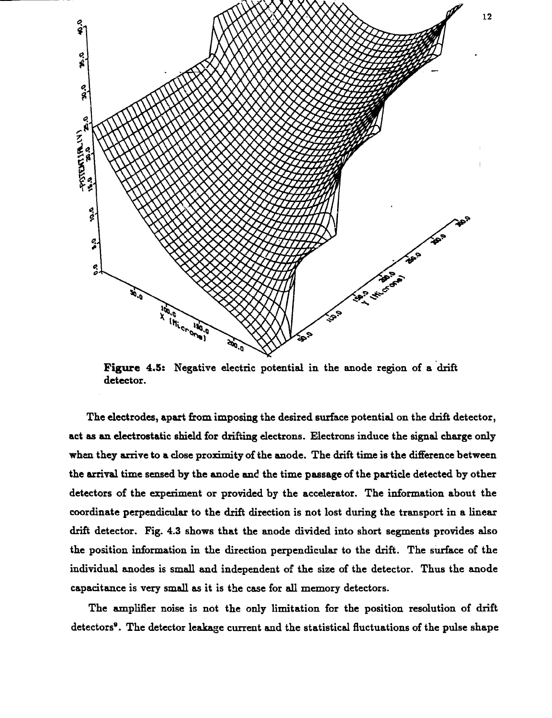

**Figure 4.5:** Negative electric potential in the anode region of a drift detector.

The electrodes, apart from imposing the desired surface potential on the drift detector, act as an electrostatic shield for drifting electrons. Electrons induce the signal charge only when they arrive to a close proximity of the anode. The drift time is the difference between the arrival time sensed by the anode and the time passage of the particle detected by other detectors of the experiment or provided by the accelerator. The information about the coordinate perpendicular to the drift direction is not lost during the transport in a linear drift detector. Fig. 4.3 shows that the anode divided into short segments provides also the position information in the direction perpendicular to the drift. The surface of the individual anodes is small and independent of the size of the detector. Thus the anode capacitance is very small as it is the case for all memory detectors.

The amplifier noise is not the only limitation for the position resolution of drift detectors". The detector leakage current and the statistical fluctuations of the pulse shape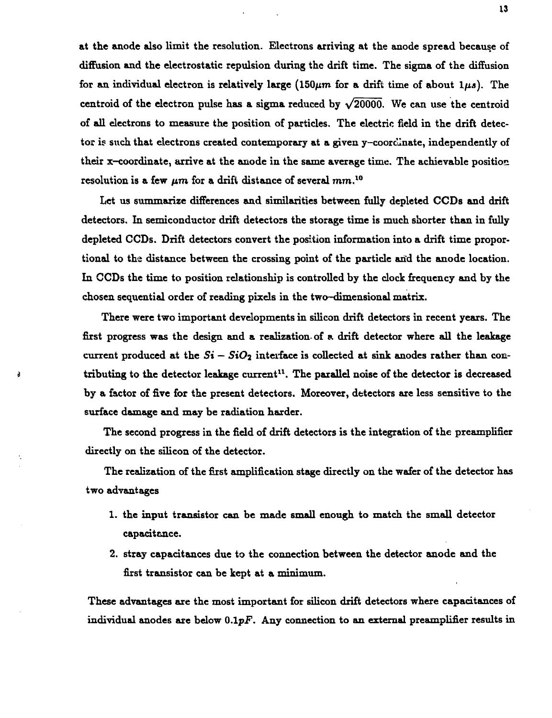**at the anode also limit the resolution. Electrons arriving at the anode spread because of diffusion and the electrostatic repulsion during the drift time. The sigma of the diffusion** for an individual electron is relatively large  $(150\mu m)$  for a drift time of about  $1\mu s$ ). The centroid of the electron pulse has a sigma reduced by  $\sqrt{20000}$ . We can use the centroid **of all electrons to measure the position of particles. The electric field in the drift detec**tor is such that electrons created contemporary at a given y-coordinate, independently of **their x-coordinate, arrive at the anode in the same average time. The achievable position** resolution is a few  $\mu$ m for a drift distance of several  $mm$ <sup>10</sup>

**Let us summarize differences and similarities between fully depleted CCDs and drift detectors. In semiconductor drift detectors the storage time is much shorter than in fully depleted CCDs. Drift detectors convert the position information into a drift time proportional to the distance between the crossing point of the particle an'd the anode location. In CCDs the time to position relationship is controlled by the clock frequency and by the chosen sequential order of reading pixels in the two-dimensional matrix.**

**There were two important developments in silicon drift detectors in recent years. The first progress was the design and a realization-of a. drift detector where all the leakage** current produced at the  $Si-SiO<sub>2</sub>$  interface is collected at sink anodes rather than con**tributing to the detector leakage current<sup>11</sup> . The parallel noise of the detector is decreased by a factor of five for the present detectors. Moreover, detectors are less sensitive to the surface damage and may be radiation harder.**

ð

**The second progress in the field of drift detectors is the integration of the preamplifier directly on the silicon of the detector.**

**The realization of the first amplification stage directly on the wafer of the detector has two advantages**

- **1. the input transistor can be made small enough to match the small detector capacitance.**
- **2. stray capacitances due to the connection between the detector anode and the first transistor can be kept at a minimum.**

**These advantages are the most important for silicon drift detectors where capacitances of individual anodes are below** *O.lpF.* **Any connection to an external preamplifier results in**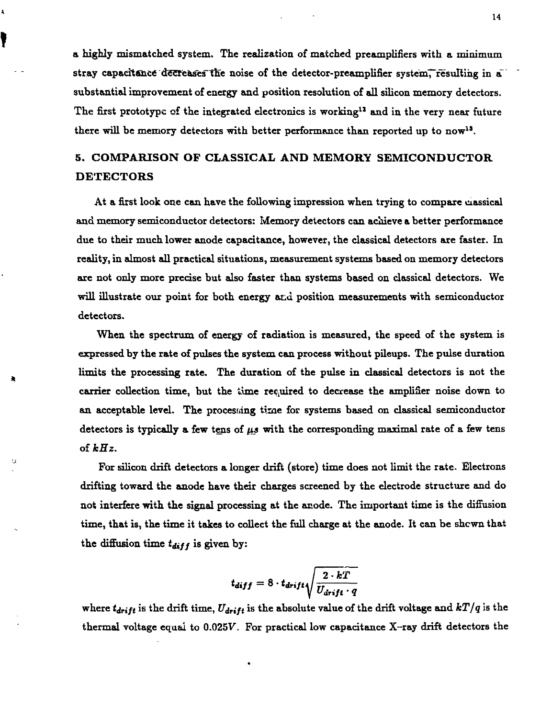a highly mismatched system. The realization of matched preamplifiers with a minimum stray capacitance decreases the noise of the detector-preamplifier system, resulting in a<sup>+</sup> substantial improvement of energy and position resolution of all silicon memory detectors. The first prototype of the integrated electronics is working<sup>12</sup> and in the very near future there will be memory detectors with better performance than reported up to now<sup>13</sup>.

Y

t,

# 5. COMPARISON OF CLASSICAL AND MEMORY SEMICONDUCTOR **DETECTORS**

At a first look one can have the following impression when trying to compare classical and memory semiconductor detectors: Memory detectors con achieve a better performance due to their much lower anode capacitance, however, the classical detectors are faster. In reality, in almost all practical situations, measurement systems based on memory detectors are not only more precise but also faster than systems based on classical detectors. We will illustrate our point for both energy and position measurements with semiconductor detectors.

When the spectrum of energy of radiation is measured, the speed of the system is expressed by the rate of pulses the system can process without pileups. The pulse duration limits the processing rate. The duration of the pulse in classical detectors is not the carrier collection time, but the time required to decrease the amplifier noise down to an acceptable level. The processing time for systems based on classical semiconductor detectors is typically a few tens of  $\mu s$  with the corresponding maximal rate of a few tens of *kHz.*

For silicon drift detectors a longer drift (store) time does not limit the rate. Electrons drifting toward the anode have their charges screened by the electrode structure and do not interfere with the signal processing at the anode. The important time is the diffusion time, that is, the time it takes to collect the full charge at the anode. It can be shewn that the diffusion time  $t_{diff}$  is given by:

$$
t_{diff} = 8 \cdot t_{drift} \sqrt{\frac{2 \cdot kT}{U_{drift} \cdot q}}
$$

where  $t_{drift}$  is the drift time,  $U_{drift}$  is the absolute value of the drift voltage and  $kT/q$  is the thermal voltage equal to  $0.025V$ . For practical low capacitance X-ray drift detectors the

**14**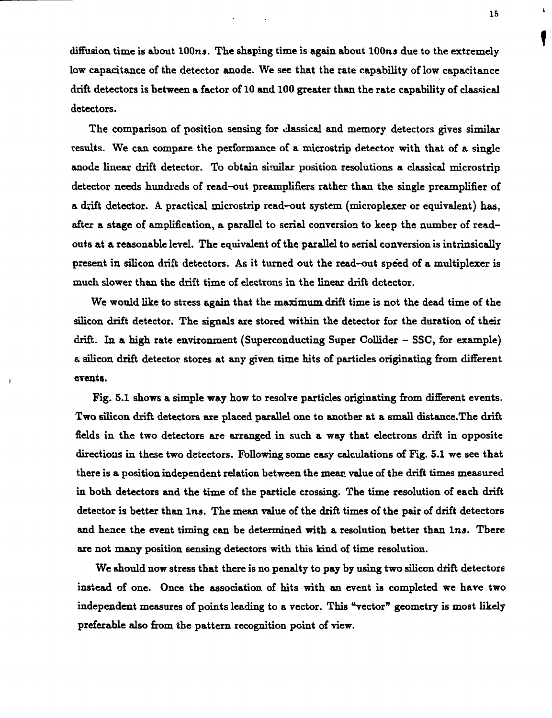diffusion time is about  $100ns$ . The shaping time is again about  $100ns$  due to the extremely low capacitance of the detector anode. We see that the rate capability of low capacitance drift detectors is between a factor of 10 and 100 greater than the rate capability of classical detectors.

The comparison of position sensing for classical and memory detectors gives similar results. We can compare the performance of a microstrip detector with that of a single anode linear drift detector. To obtain similar position resolutions a classical microstrip detector needs hundreds of read-out preamplifiers rather than the single preamplifier of a drift detector. A practical microstrip read-out system (microplexer or equivalent) has, after a stage of amplification, a parallel to serial conversion to keep the number of readouts at a reasonable level. The equivalent of the parallel to serial conversion is intrinsically present in silicon drift detectors. As it turned out the read-out speed of a multiplexer is much slower than the drift time of electrons in the linear drift detector.

We would like to stress again that the maximum drift time is not the dead time of the silicon drift detector. The signals are stored within the detector for the duration of their drift. In a high rate environment (Superconducting Super Collider - SSC, for example) & silicon drift detector stores at any given time hits of particles originating from different events.

ì

Fig. 5.1 shows a simple way how to resolve particles originating from different events. Two silicon drift detectors axe placed parallel one to another at a small distance.The drift fields in the two detectors are arranged in such a way that electrons drift in opposite directions in these two detectors. Following some easy calculations of Fig. 5.1 we see that there is a position independent relation between the mean value of the drift times measured in both detectors and the time of the particle crossing. The time resolution of each drift detector is better than Ins. The mean value of the drift times of the pair of drift detectors and hence the event timing can be determined with a resolution better than Ins. There are not many position sensing detectors with this kind of time resolution.

We should now stress that there is no penalty to pay by using two silicon drift detectors instead of one. Once the association of hits with an event is completed we have two independent measures of points leading to a vector. This "vector" geometry is most likely preferable also from the pattern recognition point of view.

 $\pmb{\lambda}$ 

╿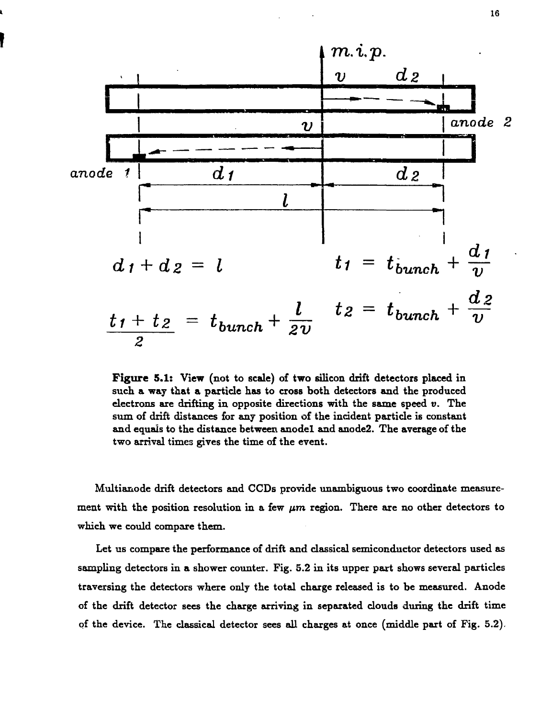

**Figure 5.1:** View (not to scale) of **two** silicon drift detectors placed in such a way that a particle has to cross both detectors and the produced electrons are drifting in opposite directions with the same speed  $v$ . The sum of drift distances for any position of the incident particle is constant and equals to the distance between anodel and anode2. The average of the two arrival times gives the time of the event.

Multianode drift detectors and CCDs provide unambiguous two coordinate measurement with the position resolution in a few  $\mu m$  region. There are no other detectors to which we could compare them.

Let us compare the performance of drift and classical semiconductor detectors used as sampling detectors in a shower counter. Fig. 5.2 in its upper part shows several particles traversing the detectors where only the total charge released is to be measured. Anode of the drift detector sees the charge arriving in separated clouds during the drift time of the device. The classical detector sees all charges at once (middle part of Fig. 5.2).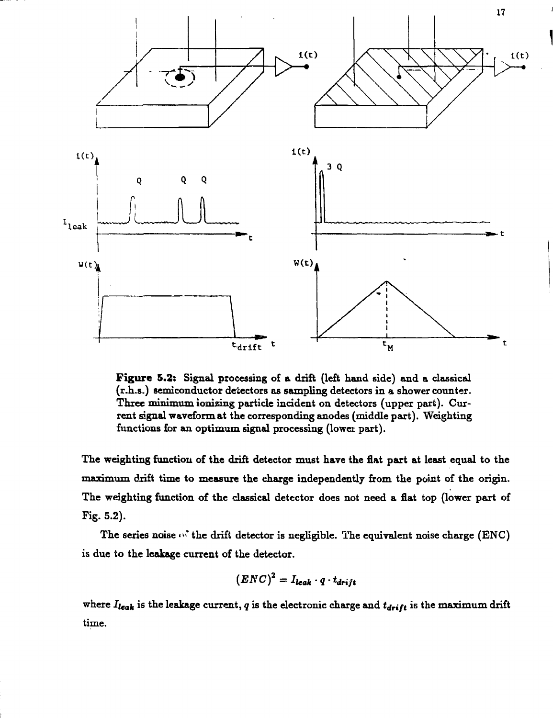

Figure 5.2: Signal processing of a drift (left hand side) and a classical (r.h.s.) semiconductor detectors as sampling detectors in a shower counter. Three minimum ionizing particle incident on detectors (upper part). Current signal waveform at the corresponding anodes (middle part). Weighting functions for an optimum signal processing (lower part).

The weighting function of the drift detector must have the flat part at least equal to the maximum drift time to measure the charge independently from the point of the origin. The weighting function of the classical detector does not need a fiat top (lower part of Fig. 5.2).

The series noise  $\mathbf{\omega}$  the drift detector is negligible. The equivalent noise charge (ENC) is due to the leakage current of the detector.

$$
(ENC)^2 = I_{leak} \cdot q \cdot t_{drift}
$$

where  $I_{leak}$  is the leakage current, q is the electronic charge and  $t_{drift}$  is the maximum drift time.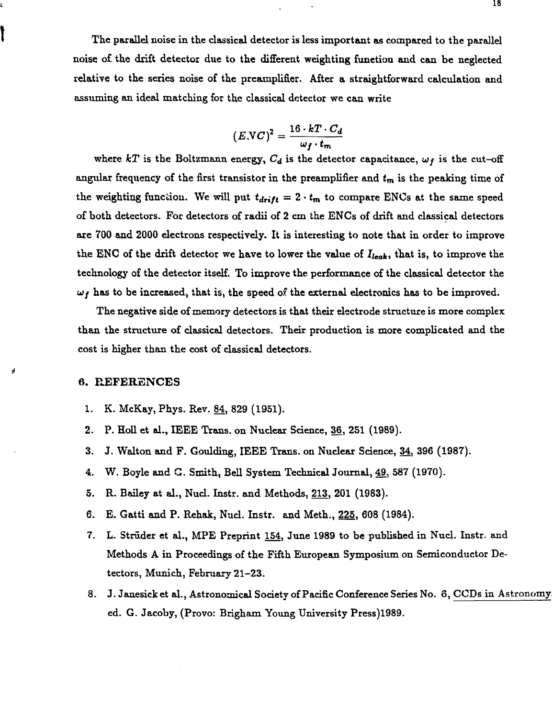The parallel noise in the classical detector is less important as compared to the parallel noise of the drift detector due to the different weighting funetion and can be neglected relative to the series noise of the preamplifier. After a straightforward calculation and assuming an ideal matching for the classical detector we can write

$$
(ENC)^2 = \frac{16 \cdot kT \cdot C_d}{\omega_f \cdot t_m}
$$

where  $kT$  is the Boltzmann energy,  $C_d$  is the detector capacitance,  $\omega_f$  is the cut-off angular frequency of the first transistor in the preamplifier and *tm* is the peaking time of the weighting function. We will put  $t_{drift} = 2 \cdot t_m$  to compare ENCs at the same speed of both detectors. For detectors of radii of 2 cm the ENCs of drift and classical detectors are 700 and 2000 electrons respectively. It is interesting to note that in order to improve the ENC of the drift detector we have to lower the value of  $I_{leak}$ , that is, to improve the technology of the detector itself. To improve the performance of the classical detector the  $\omega_f$  has to be increased, that is, the speed of the external electronics has to be improved.

The negative side of memory detectors is that their electrode structure is more complex than the structure of classical detectors. Their production is more complicated and the cost is higher than the cost of classical detectors.

#### 6. REFERENCES

- 1. K. McKay, Phys. Rev. 84, 829 (1951).
- 2. P. Holl et al., IEEE Trans, on Nuclear Science, 36, 251 (1989).
- 3. J. Walton and F. Goulding, IEEE Trans, on Nuclear Science, 34, 396 (1987).
- 4. W. Boyle and G. Smith, Bell System Technical Journal, 49, 587 (1970).
- 5. R. Bailey at al., Nud. Instr. and Methods, 213, 201 (1983).
- 6. E. Gatti and P. Rehak, Nud. Instr. and Meth., 225, 608 (1984).
- 7. L. Striider et al., MPE Preprint 154, June 1989 to be published in Nud. Instr. and Methods A in Proceedings of the Fifth European Symposium on Semiconductor Detectors, Munich, February 21-23.
- 8. J. Janesick et al., Astronomical Society of Pacific Conference Series No. 6, CCDs in Astronomy ed. G. Jacoby, (Provo: Brigham Young University Press)1989.